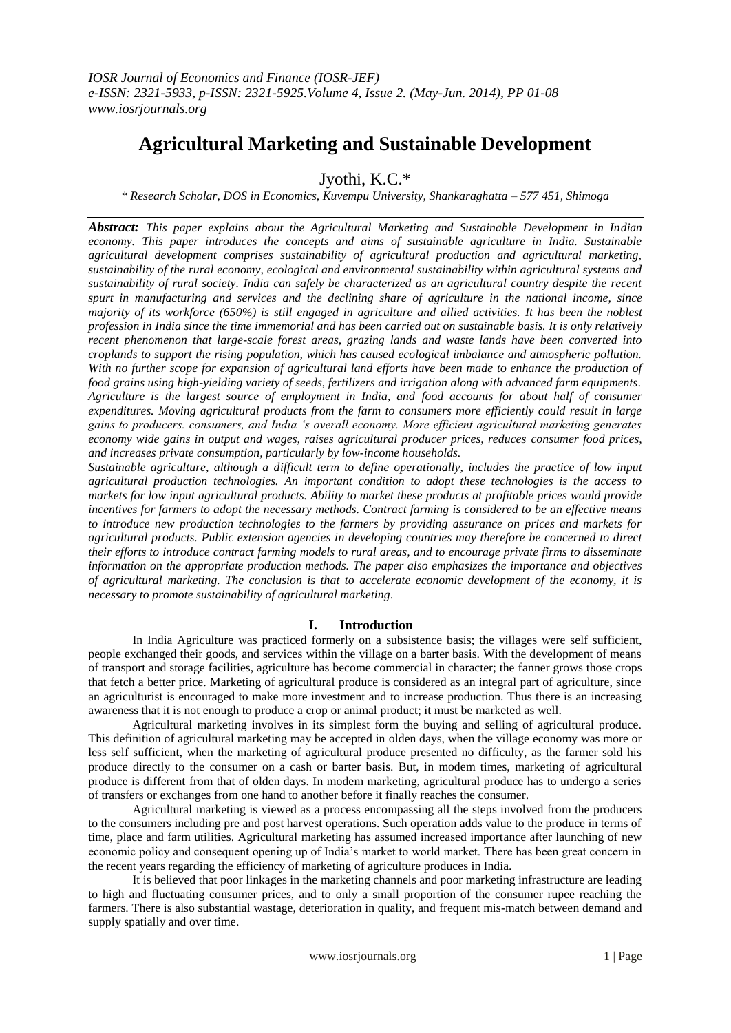# **Agricultural Marketing and Sustainable Development**

Jyothi, K.C.\*

*\* Research Scholar, DOS in Economics, Kuvempu University, Shankaraghatta – 577 451, Shimoga*

*Abstract: This paper explains about the Agricultural Marketing and Sustainable Development in Indian economy. This paper introduces the concepts and aims of sustainable agriculture in India. Sustainable agricultural development comprises sustainability of agricultural production and agricultural marketing, sustainability of the rural economy, ecological and environmental sustainability within agricultural systems and sustainability of rural society. India can safely be characterized as an agricultural country despite the recent spurt in manufacturing and services and the declining share of agriculture in the national income, since majority of its workforce (650%) is still engaged in agriculture and allied activities. It has been the noblest profession in India since the time immemorial and has been carried out on sustainable basis. It is only relatively recent phenomenon that large-scale forest areas, grazing lands and waste lands have been converted into croplands to support the rising population, which has caused ecological imbalance and atmospheric pollution. With no further scope for expansion of agricultural land efforts have been made to enhance the production of food grains using high-yielding variety of seeds, fertilizers and irrigation along with advanced farm equipments. Agriculture is the largest source of employment in India, and food accounts for about half of consumer expenditures. Moving agricultural products from the farm to consumers more efficiently could result in large gains to producers. consumers, and India 's overall economy. More efficient agricultural marketing generates economy wide gains in output and wages, raises agricultural producer prices, reduces consumer food prices, and increases private consumption, particularly by low-income households.*

*Sustainable agriculture, although a difficult term to define operationally, includes the practice of low input agricultural production technologies. An important condition to adopt these technologies is the access to markets for low input agricultural products. Ability to market these products at profitable prices would provide incentives for farmers to adopt the necessary methods. Contract farming is considered to be an effective means to introduce new production technologies to the farmers by providing assurance on prices and markets for agricultural products. Public extension agencies in developing countries may therefore be concerned to direct their efforts to introduce contract farming models to rural areas, and to encourage private firms to disseminate information on the appropriate production methods. The paper also emphasizes the importance and objectives of agricultural marketing. The conclusion is that to accelerate economic development of the economy, it is necessary to promote sustainability of agricultural marketing.*

## **I. Introduction**

In India Agriculture was practiced formerly on a subsistence basis; the villages were self sufficient, people exchanged their goods, and services within the village on a barter basis. With the development of means of transport and storage facilities, agriculture has become commercial in character; the fanner grows those crops that fetch a better price. Marketing of agricultural produce is considered as an integral part of agriculture, since an agriculturist is encouraged to make more investment and to increase production. Thus there is an increasing awareness that it is not enough to produce a crop or animal product; it must be marketed as well.

Agricultural marketing involves in its simplest form the buying and selling of agricultural produce. This definition of agricultural marketing may be accepted in olden days, when the village economy was more or less self sufficient, when the marketing of agricultural produce presented no difficulty, as the farmer sold his produce directly to the consumer on a cash or barter basis. But, in modem times, marketing of agricultural produce is different from that of olden days. In modem marketing, agricultural produce has to undergo a series of transfers or exchanges from one hand to another before it finally reaches the consumer.

Agricultural marketing is viewed as a process encompassing all the steps involved from the producers to the consumers including pre and post harvest operations. Such operation adds value to the produce in terms of time, place and farm utilities. Agricultural marketing has assumed increased importance after launching of new economic policy and consequent opening up of India"s market to world market. There has been great concern in the recent years regarding the efficiency of marketing of agriculture produces in India.

It is believed that poor linkages in the marketing channels and poor marketing infrastructure are leading to high and fluctuating consumer prices, and to only a small proportion of the consumer rupee reaching the farmers. There is also substantial wastage, deterioration in quality, and frequent mis-match between demand and supply spatially and over time.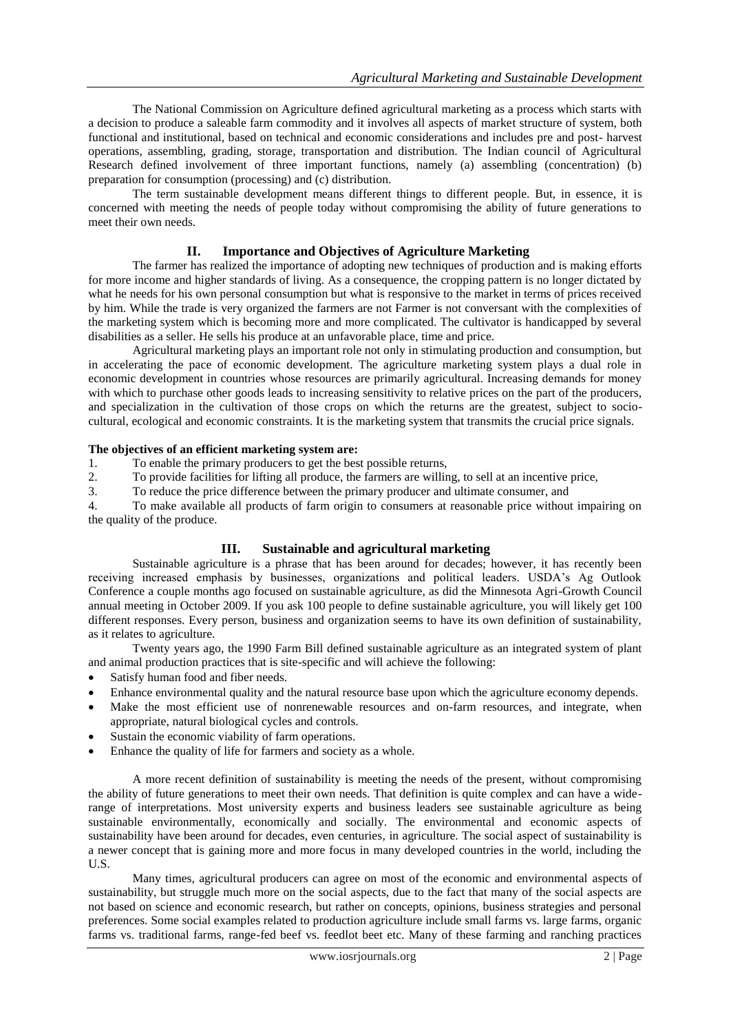The National Commission on Agriculture defined agricultural marketing as a process which starts with a decision to produce a saleable farm commodity and it involves all aspects of market structure of system, both functional and institutional, based on technical and economic considerations and includes pre and post- harvest operations, assembling, grading, storage, transportation and distribution. The Indian council of Agricultural Research defined involvement of three important functions, namely (a) assembling (concentration) (b) preparation for consumption (processing) and (c) distribution.

The term sustainable development means different things to different people. But, in essence, it is concerned with meeting the needs of people today without compromising the ability of future generations to meet their own needs.

## **II. Importance and Objectives of Agriculture Marketing**

The farmer has realized the importance of adopting new techniques of production and is making efforts for more income and higher standards of living. As a consequence, the cropping pattern is no longer dictated by what he needs for his own personal consumption but what is responsive to the market in terms of prices received by him. While the trade is very organized the farmers are not Farmer is not conversant with the complexities of the marketing system which is becoming more and more complicated. The cultivator is handicapped by several disabilities as a seller. He sells his produce at an unfavorable place, time and price.

Agricultural marketing plays an important role not only in stimulating production and consumption, but in accelerating the pace of economic development. The agriculture marketing system plays a dual role in economic development in countries whose resources are primarily agricultural. Increasing demands for money with which to purchase other goods leads to increasing sensitivity to relative prices on the part of the producers, and specialization in the cultivation of those crops on which the returns are the greatest, subject to sociocultural, ecological and economic constraints. It is the marketing system that transmits the crucial price signals.

#### **The objectives of an efficient marketing system are:**

1. To enable the primary producers to get the best possible returns,<br>2. To provide facilities for lifting all produce, the farmers are willing

2. To provide facilities for lifting all produce, the farmers are willing, to sell at an incentive price,

3. To reduce the price difference between the primary producer and ultimate consumer, and

4. To make available all products of farm origin to consumers at reasonable price without impairing on the quality of the produce.

## **III. Sustainable and agricultural marketing**

Sustainable agriculture is a phrase that has been around for decades; however, it has recently been receiving increased emphasis by businesses, organizations and political leaders. USDA"s Ag Outlook Conference a couple months ago focused on sustainable agriculture, as did the Minnesota Agri-Growth Council annual meeting in October 2009. If you ask 100 people to define sustainable agriculture, you will likely get 100 different responses. Every person, business and organization seems to have its own definition of sustainability, as it relates to agriculture.

Twenty years ago, the 1990 Farm Bill defined sustainable agriculture as an integrated system of plant and animal production practices that is site-specific and will achieve the following:

- Satisfy human food and fiber needs.
- Enhance environmental quality and the natural resource base upon which the agriculture economy depends.
- Make the most efficient use of nonrenewable resources and on-farm resources, and integrate, when appropriate, natural biological cycles and controls.
- Sustain the economic viability of farm operations.
- Enhance the quality of life for farmers and society as a whole.

A more recent definition of sustainability is meeting the needs of the present, without compromising the ability of future generations to meet their own needs. That definition is quite complex and can have a widerange of interpretations. Most university experts and business leaders see sustainable agriculture as being sustainable environmentally, economically and socially. The environmental and economic aspects of sustainability have been around for decades, even centuries, in agriculture. The social aspect of sustainability is a newer concept that is gaining more and more focus in many developed countries in the world, including the U.S.

Many times, agricultural producers can agree on most of the economic and environmental aspects of sustainability, but struggle much more on the social aspects, due to the fact that many of the social aspects are not based on science and economic research, but rather on concepts, opinions, business strategies and personal preferences. Some social examples related to production agriculture include small farms vs. large farms, organic farms vs. traditional farms, range-fed beef vs. feedlot beet etc. Many of these farming and ranching practices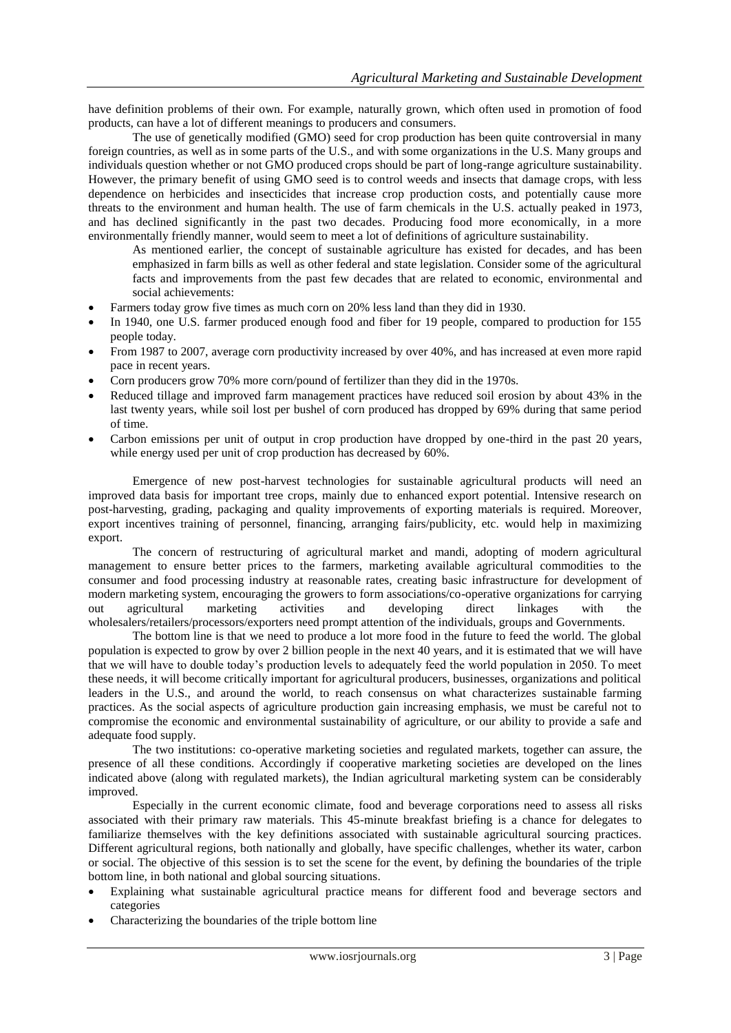have definition problems of their own. For example, naturally grown, which often used in promotion of food products, can have a lot of different meanings to producers and consumers.

The use of genetically modified (GMO) seed for crop production has been quite controversial in many foreign countries, as well as in some parts of the U.S., and with some organizations in the U.S. Many groups and individuals question whether or not GMO produced crops should be part of long-range agriculture sustainability. However, the primary benefit of using GMO seed is to control weeds and insects that damage crops, with less dependence on herbicides and insecticides that increase crop production costs, and potentially cause more threats to the environment and human health. The use of farm chemicals in the U.S. actually peaked in 1973, and has declined significantly in the past two decades. Producing food more economically, in a more environmentally friendly manner, would seem to meet a lot of definitions of agriculture sustainability.

As mentioned earlier, the concept of sustainable agriculture has existed for decades, and has been emphasized in farm bills as well as other federal and state legislation. Consider some of the agricultural facts and improvements from the past few decades that are related to economic, environmental and social achievements:

- Farmers today grow five times as much corn on 20% less land than they did in 1930.
- In 1940, one U.S. farmer produced enough food and fiber for 19 people, compared to production for 155 people today.
- From 1987 to 2007, average corn productivity increased by over 40%, and has increased at even more rapid pace in recent years.
- Corn producers grow 70% more corn/pound of fertilizer than they did in the 1970s.
- Reduced tillage and improved farm management practices have reduced soil erosion by about 43% in the last twenty years, while soil lost per bushel of corn produced has dropped by 69% during that same period of time.
- Carbon emissions per unit of output in crop production have dropped by one-third in the past 20 years, while energy used per unit of crop production has decreased by 60%.

Emergence of new post-harvest technologies for sustainable agricultural products will need an improved data basis for important tree crops, mainly due to enhanced export potential. Intensive research on post-harvesting, grading, packaging and quality improvements of exporting materials is required. Moreover, export incentives training of personnel, financing, arranging fairs/publicity, etc. would help in maximizing export.

The concern of restructuring of agricultural market and mandi, adopting of modern agricultural management to ensure better prices to the farmers, marketing available agricultural commodities to the consumer and food processing industry at reasonable rates, creating basic infrastructure for development of modern marketing system, encouraging the growers to form associations/co-operative organizations for carrying out agricultural marketing activities and developing direct linkages with the wholesalers/retailers/processors/exporters need prompt attention of the individuals, groups and Governments.

The bottom line is that we need to produce a lot more food in the future to feed the world. The global population is expected to grow by over 2 billion people in the next 40 years, and it is estimated that we will have that we will have to double today"s production levels to adequately feed the world population in 2050. To meet these needs, it will become critically important for agricultural producers, businesses, organizations and political leaders in the U.S., and around the world, to reach consensus on what characterizes sustainable farming practices. As the social aspects of agriculture production gain increasing emphasis, we must be careful not to compromise the economic and environmental sustainability of agriculture, or our ability to provide a safe and adequate food supply.

The two institutions: co-operative marketing societies and regulated markets, together can assure, the presence of all these conditions. Accordingly if cooperative marketing societies are developed on the lines indicated above (along with regulated markets), the Indian agricultural marketing system can be considerably improved.

Especially in the current economic climate, food and beverage corporations need to assess all risks associated with their primary raw materials. This 45-minute breakfast briefing is a chance for delegates to familiarize themselves with the key definitions associated with sustainable agricultural sourcing practices. Different agricultural regions, both nationally and globally, have specific challenges, whether its water, carbon or social. The objective of this session is to set the scene for the event, by defining the boundaries of the triple bottom line, in both national and global sourcing situations.

- Explaining what sustainable agricultural practice means for different food and beverage sectors and categories
- Characterizing the boundaries of the triple bottom line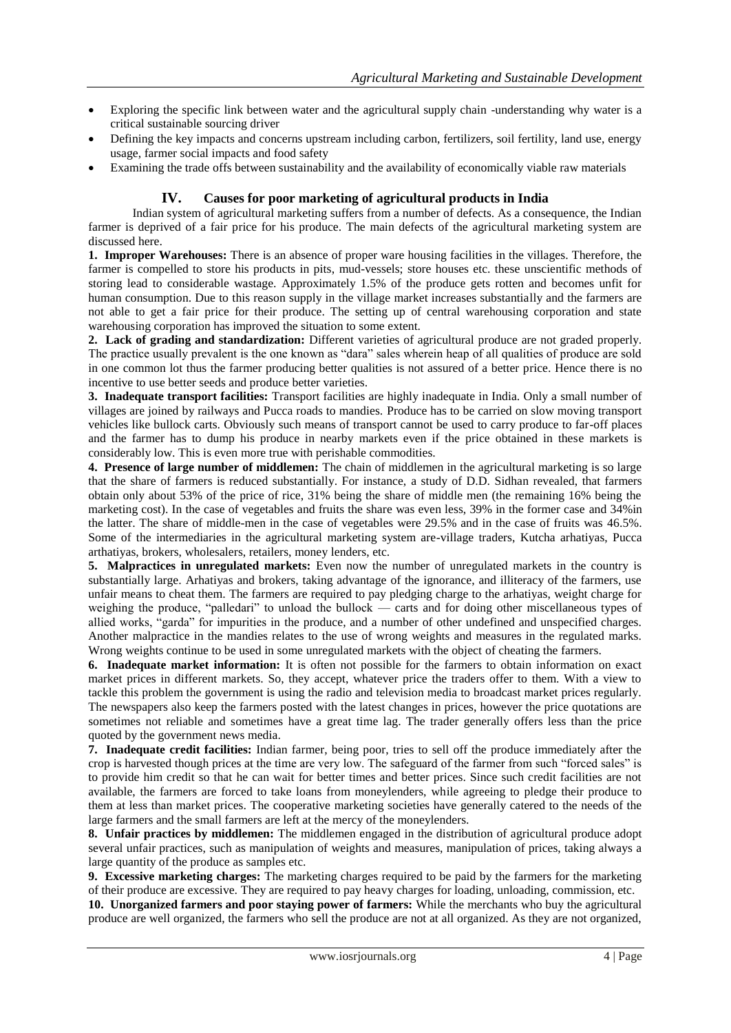- Exploring the specific link between water and the agricultural supply chain -understanding why water is a critical sustainable sourcing driver
- Defining the key impacts and concerns upstream including carbon, fertilizers, soil fertility, land use, energy usage, farmer social impacts and food safety
- Examining the trade offs between sustainability and the availability of economically viable raw materials

## **IV. Causes for poor marketing of agricultural products in India**

Indian system of agricultural marketing suffers from a number of defects. As a consequence, the Indian farmer is deprived of a fair price for his produce. The main defects of the agricultural marketing system are discussed here.

**1. Improper Warehouses:** There is an absence of proper ware housing facilities in the villages. Therefore, the farmer is compelled to store his products in pits, mud-vessels; store houses etc. these unscientific methods of storing lead to considerable wastage. Approximately 1.5% of the produce gets rotten and becomes unfit for human consumption. Due to this reason supply in the village market increases substantially and the farmers are not able to get a fair price for their produce. The setting up of central warehousing corporation and state warehousing corporation has improved the situation to some extent.

**2. Lack of grading and standardization:** Different varieties of agricultural produce are not graded properly. The practice usually prevalent is the one known as "dara" sales wherein heap of all qualities of produce are sold in one common lot thus the farmer producing better qualities is not assured of a better price. Hence there is no incentive to use better seeds and produce better varieties.

**3. Inadequate transport facilities:** Transport facilities are highly inadequate in India. Only a small number of villages are joined by railways and Pucca roads to mandies. Produce has to be carried on slow moving transport vehicles like bullock carts. Obviously such means of transport cannot be used to carry produce to far-off places and the farmer has to dump his produce in nearby markets even if the price obtained in these markets is considerably low. This is even more true with perishable commodities.

**4. Presence of large number of middlemen:** The chain of middlemen in the agricultural marketing is so large that the share of farmers is reduced substantially. For instance, a study of D.D. Sidhan revealed, that farmers obtain only about 53% of the price of rice, 31% being the share of middle men (the remaining 16% being the marketing cost). In the case of vegetables and fruits the share was even less, 39% in the former case and 34%in the latter. The share of middle-men in the case of vegetables were 29.5% and in the case of fruits was 46.5%. Some of the intermediaries in the agricultural marketing system are-village traders, Kutcha arhatiyas, Pucca arthatiyas, brokers, wholesalers, retailers, money lenders, etc.

**5. Malpractices in unregulated markets:** Even now the number of unregulated markets in the country is substantially large. Arhatiyas and brokers, taking advantage of the ignorance, and illiteracy of the farmers, use unfair means to cheat them. The farmers are required to pay pledging charge to the arhatiyas, weight charge for weighing the produce, "palledari" to unload the bullock — carts and for doing other miscellaneous types of allied works, "garda" for impurities in the produce, and a number of other undefined and unspecified charges. Another malpractice in the mandies relates to the use of wrong weights and measures in the regulated marks. Wrong weights continue to be used in some unregulated markets with the object of cheating the farmers.

**6. Inadequate market information:** It is often not possible for the farmers to obtain information on exact market prices in different markets. So, they accept, whatever price the traders offer to them. With a view to tackle this problem the government is using the radio and television media to broadcast market prices regularly. The newspapers also keep the farmers posted with the latest changes in prices, however the price quotations are sometimes not reliable and sometimes have a great time lag. The trader generally offers less than the price quoted by the government news media.

**7. Inadequate credit facilities:** Indian farmer, being poor, tries to sell off the produce immediately after the crop is harvested though prices at the time are very low. The safeguard of the farmer from such "forced sales" is to provide him credit so that he can wait for better times and better prices. Since such credit facilities are not available, the farmers are forced to take loans from moneylenders, while agreeing to pledge their produce to them at less than market prices. The cooperative marketing societies have generally catered to the needs of the large farmers and the small farmers are left at the mercy of the moneylenders.

**8. Unfair practices by middlemen:** The middlemen engaged in the distribution of agricultural produce adopt several unfair practices, such as manipulation of weights and measures, manipulation of prices, taking always a large quantity of the produce as samples etc.

**9. Excessive marketing charges:** The marketing charges required to be paid by the farmers for the marketing of their produce are excessive. They are required to pay heavy charges for loading, unloading, commission, etc.

**10. Unorganized farmers and poor staying power of farmers:** While the merchants who buy the agricultural produce are well organized, the farmers who sell the produce are not at all organized. As they are not organized,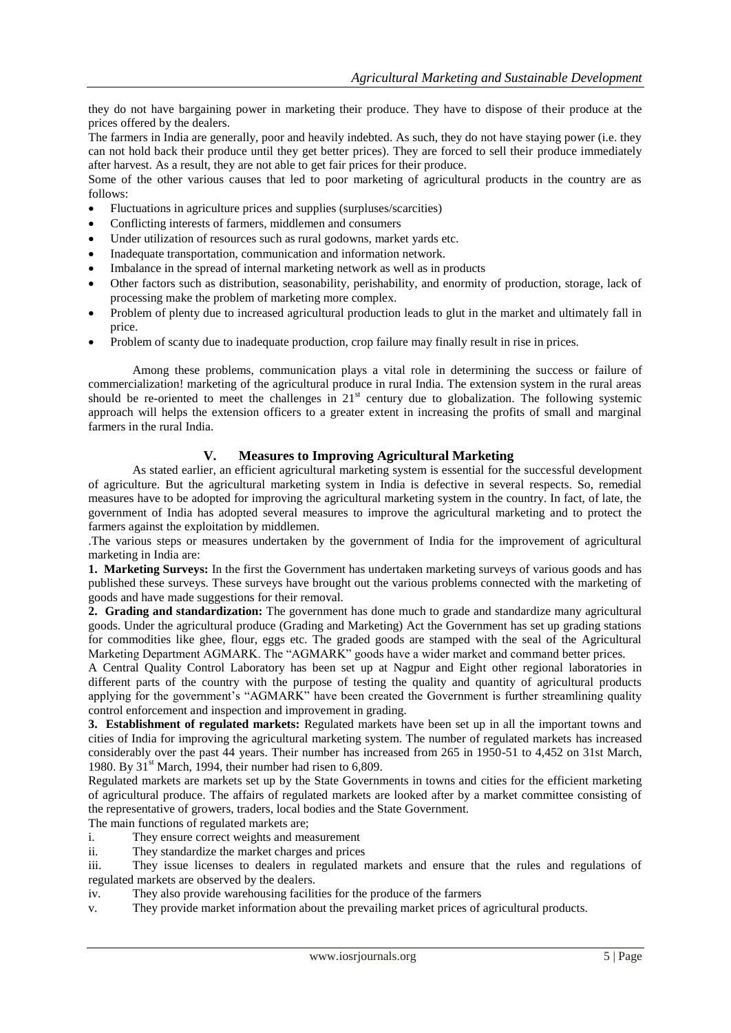they do not have bargaining power in marketing their produce. They have to dispose of their produce at the prices offered by the dealers.

The farmers in India are generally, poor and heavily indebted. As such, they do not have staying power (i.e. they can not hold back their produce until they get better prices). They are forced to sell their produce immediately after harvest. As a result, they are not able to get fair prices for their produce.

Some of the other various causes that led to poor marketing of agricultural products in the country are as follows:

- Fluctuations in agriculture prices and supplies (surpluses/scarcities)
- Conflicting interests of farmers, middlemen and consumers
- Under utilization of resources such as rural godowns, market yards etc.
- Inadequate transportation, communication and information network.
- Imbalance in the spread of internal marketing network as well as in products
- Other factors such as distribution, seasonability, perishability, and enormity of production, storage, lack of processing make the problem of marketing more complex.
- Problem of plenty due to increased agricultural production leads to glut in the market and ultimately fall in price.
- Problem of scanty due to inadequate production, crop failure may finally result in rise in prices.

Among these problems, communication plays a vital role in determining the success or failure of commercialization! marketing of the agricultural produce in rural India. The extension system in the rural areas should be re-oriented to meet the challenges in  $21<sup>st</sup>$  century due to globalization. The following systemic approach will helps the extension officers to a greater extent in increasing the profits of small and marginal farmers in the rural India.

## **V. Measures to Improving Agricultural Marketing**

As stated earlier, an efficient agricultural marketing system is essential for the successful development of agriculture. But the agricultural marketing system in India is defective in several respects. So, remedial measures have to be adopted for improving the agricultural marketing system in the country. In fact, of late, the government of India has adopted several measures to improve the agricultural marketing and to protect the farmers against the exploitation by middlemen.

.The various steps or measures undertaken by the government of India for the improvement of agricultural marketing in India are:

**1. Marketing Surveys:** In the first the Government has undertaken marketing surveys of various goods and has published these surveys. These surveys have brought out the various problems connected with the marketing of goods and have made suggestions for their removal.

**2. Grading and standardization:** The government has done much to grade and standardize many agricultural goods. Under the agricultural produce (Grading and Marketing) Act the Government has set up grading stations for commodities like ghee, flour, eggs etc. The graded goods are stamped with the seal of the Agricultural Marketing Department AGMARK. The "AGMARK" goods have a wider market and command better prices.

A Central Quality Control Laboratory has been set up at Nagpur and Eight other regional laboratories in different parts of the country with the purpose of testing the quality and quantity of agricultural products applying for the government's "AGMARK" have been created the Government is further streamlining quality control enforcement and inspection and improvement in grading.

**3. Establishment of regulated markets:** Regulated markets have been set up in all the important towns and cities of India for improving the agricultural marketing system. The number of regulated markets has increased considerably over the past 44 years. Their number has increased from 265 in 1950-51 to 4,452 on 31st March, 1980. By  $31<sup>st</sup>$  March, 1994, their number had risen to 6,809.

Regulated markets are markets set up by the State Governments in towns and cities for the efficient marketing of agricultural produce. The affairs of regulated markets are looked after by a market committee consisting of the representative of growers, traders, local bodies and the State Government.

The main functions of regulated markets are;

- i. They ensure correct weights and measurement
- ii. They standardize the market charges and prices

iii. They issue licenses to dealers in regulated markets and ensure that the rules and regulations of regulated markets are observed by the dealers.

iv. They also provide warehousing facilities for the produce of the farmers

v. They provide market information about the prevailing market prices of agricultural products.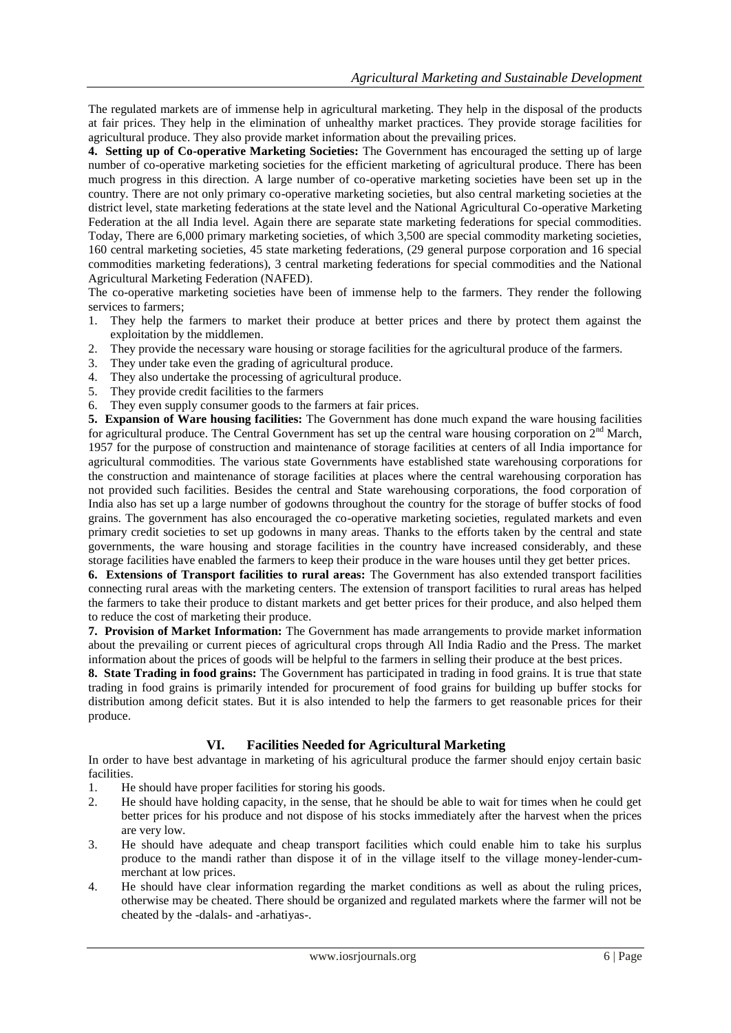The regulated markets are of immense help in agricultural marketing. They help in the disposal of the products at fair prices. They help in the elimination of unhealthy market practices. They provide storage facilities for agricultural produce. They also provide market information about the prevailing prices.

**4. Setting up of Co-operative Marketing Societies:** The Government has encouraged the setting up of large number of co-operative marketing societies for the efficient marketing of agricultural produce. There has been much progress in this direction. A large number of co-operative marketing societies have been set up in the country. There are not only primary co-operative marketing societies, but also central marketing societies at the district level, state marketing federations at the state level and the National Agricultural Co-operative Marketing Federation at the all India level. Again there are separate state marketing federations for special commodities. Today, There are 6,000 primary marketing societies, of which 3,500 are special commodity marketing societies, 160 central marketing societies, 45 state marketing federations, (29 general purpose corporation and 16 special commodities marketing federations), 3 central marketing federations for special commodities and the National Agricultural Marketing Federation (NAFED).

The co-operative marketing societies have been of immense help to the farmers. They render the following services to farmers;

- 1. They help the farmers to market their produce at better prices and there by protect them against the exploitation by the middlemen.
- 2. They provide the necessary ware housing or storage facilities for the agricultural produce of the farmers.
- 3. They under take even the grading of agricultural produce.
- 4. They also undertake the processing of agricultural produce.
- 5. They provide credit facilities to the farmers
- 6. They even supply consumer goods to the farmers at fair prices.

**5. Expansion of Ware housing facilities:** The Government has done much expand the ware housing facilities for agricultural produce. The Central Government has set up the central ware housing corporation on  $2<sup>nd</sup>$  March, 1957 for the purpose of construction and maintenance of storage facilities at centers of all India importance for agricultural commodities. The various state Governments have established state warehousing corporations for the construction and maintenance of storage facilities at places where the central warehousing corporation has not provided such facilities. Besides the central and State warehousing corporations, the food corporation of India also has set up a large number of godowns throughout the country for the storage of buffer stocks of food grains. The government has also encouraged the co-operative marketing societies, regulated markets and even primary credit societies to set up godowns in many areas. Thanks to the efforts taken by the central and state governments, the ware housing and storage facilities in the country have increased considerably, and these storage facilities have enabled the farmers to keep their produce in the ware houses until they get better prices.

**6. Extensions of Transport facilities to rural areas:** The Government has also extended transport facilities connecting rural areas with the marketing centers. The extension of transport facilities to rural areas has helped the farmers to take their produce to distant markets and get better prices for their produce, and also helped them to reduce the cost of marketing their produce.

**7. Provision of Market Information:** The Government has made arrangements to provide market information about the prevailing or current pieces of agricultural crops through All India Radio and the Press. The market information about the prices of goods will be helpful to the farmers in selling their produce at the best prices.

**8. State Trading in food grains:** The Government has participated in trading in food grains. It is true that state trading in food grains is primarily intended for procurement of food grains for building up buffer stocks for distribution among deficit states. But it is also intended to help the farmers to get reasonable prices for their produce.

## **VI. Facilities Needed for Agricultural Marketing**

In order to have best advantage in marketing of his agricultural produce the farmer should enjoy certain basic facilities.

- 1. He should have proper facilities for storing his goods.
- 2. He should have holding capacity, in the sense, that he should be able to wait for times when he could get better prices for his produce and not dispose of his stocks immediately after the harvest when the prices are very low.
- 3. He should have adequate and cheap transport facilities which could enable him to take his surplus produce to the mandi rather than dispose it of in the village itself to the village money-lender-cummerchant at low prices.
- 4. He should have clear information regarding the market conditions as well as about the ruling prices, otherwise may be cheated. There should be organized and regulated markets where the farmer will not be cheated by the -dalals- and -arhatiyas-.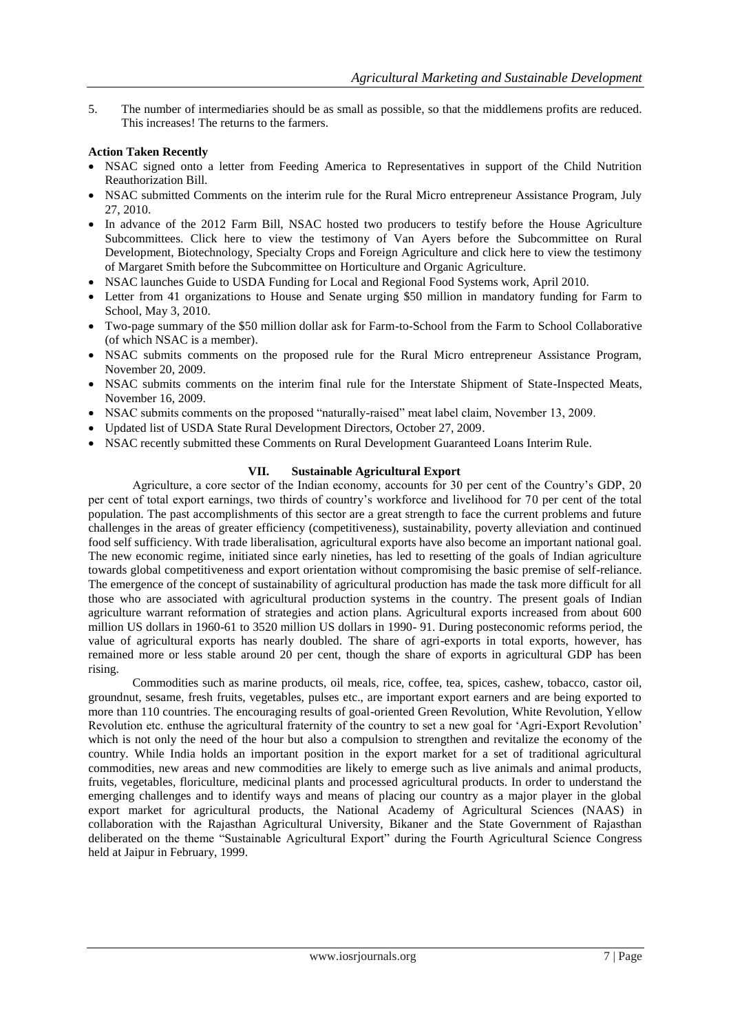5. The number of intermediaries should be as small as possible, so that the middlemens profits are reduced. This increases! The returns to the farmers.

#### **Action Taken Recently**

- NSAC signed onto a letter from Feeding America to Representatives in support of the Child Nutrition Reauthorization Bill.
- NSAC submitted Comments on the interim rule for the Rural Micro entrepreneur Assistance Program, July 27, 2010.
- In advance of the 2012 Farm Bill, NSAC hosted two producers to testify before the House Agriculture Subcommittees. Click here to view the testimony of Van Ayers before the Subcommittee on Rural Development, Biotechnology, Specialty Crops and Foreign Agriculture and click here to view the testimony of Margaret Smith before the Subcommittee on Horticulture and Organic Agriculture.
- NSAC launches Guide to USDA Funding for Local and Regional Food Systems work, April 2010.
- Letter from 41 organizations to House and Senate urging \$50 million in mandatory funding for Farm to School, May 3, 2010.
- Two-page summary of the \$50 million dollar ask for Farm-to-School from the Farm to School Collaborative (of which NSAC is a member).
- NSAC submits comments on the proposed rule for the Rural Micro entrepreneur Assistance Program, November 20, 2009.
- NSAC submits comments on the interim final rule for the Interstate Shipment of State-Inspected Meats, November 16, 2009.
- NSAC submits comments on the proposed "naturally-raised" meat label claim, November 13, 2009.
- Updated list of USDA State Rural Development Directors, October 27, 2009.
- NSAC recently submitted these Comments on Rural Development Guaranteed Loans Interim Rule.

#### **VII. Sustainable Agricultural Export**

Agriculture, a core sector of the Indian economy, accounts for 30 per cent of the Country"s GDP, 20 per cent of total export earnings, two thirds of country"s workforce and livelihood for 70 per cent of the total population. The past accomplishments of this sector are a great strength to face the current problems and future challenges in the areas of greater efficiency (competitiveness), sustainability, poverty alleviation and continued food self sufficiency. With trade liberalisation, agricultural exports have also become an important national goal. The new economic regime, initiated since early nineties, has led to resetting of the goals of Indian agriculture towards global competitiveness and export orientation without compromising the basic premise of self-reliance. The emergence of the concept of sustainability of agricultural production has made the task more difficult for all those who are associated with agricultural production systems in the country. The present goals of Indian agriculture warrant reformation of strategies and action plans. Agricultural exports increased from about 600 million US dollars in 1960-61 to 3520 million US dollars in 1990- 91. During posteconomic reforms period, the value of agricultural exports has nearly doubled. The share of agri-exports in total exports, however, has remained more or less stable around 20 per cent, though the share of exports in agricultural GDP has been rising.

Commodities such as marine products, oil meals, rice, coffee, tea, spices, cashew, tobacco, castor oil, groundnut, sesame, fresh fruits, vegetables, pulses etc., are important export earners and are being exported to more than 110 countries. The encouraging results of goal-oriented Green Revolution, White Revolution, Yellow Revolution etc. enthuse the agricultural fraternity of the country to set a new goal for "Agri-Export Revolution" which is not only the need of the hour but also a compulsion to strengthen and revitalize the economy of the country. While India holds an important position in the export market for a set of traditional agricultural commodities, new areas and new commodities are likely to emerge such as live animals and animal products, fruits, vegetables, floriculture, medicinal plants and processed agricultural products. In order to understand the emerging challenges and to identify ways and means of placing our country as a major player in the global export market for agricultural products, the National Academy of Agricultural Sciences (NAAS) in collaboration with the Rajasthan Agricultural University, Bikaner and the State Government of Rajasthan deliberated on the theme "Sustainable Agricultural Export" during the Fourth Agricultural Science Congress held at Jaipur in February, 1999.